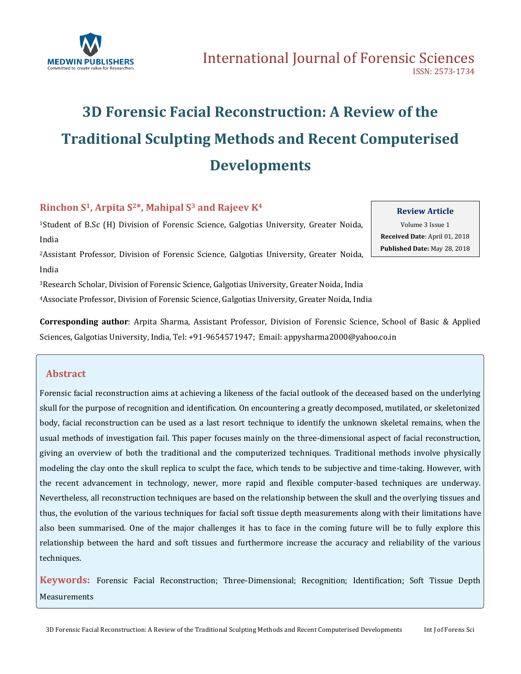

# **3D Forensic Facial Reconstruction: A Review of the Traditional Sculpting Methods and Recent Computerised Developments**

### **Rinchon S1, Arpita S2\*, Mahipal S<sup>3</sup> and Rajeev K<sup>4</sup>**

<sup>1</sup>Student of B.Sc (H) Division of Forensic Science, Galgotias University, Greater Noida, India

<sup>2</sup>Assistant Professor, Division of Forensic Science, Galgotias University, Greater Noida, India

<sup>3</sup>Research Scholar, Division of Forensic Science, Galgotias University, Greater Noida, India <sup>4</sup>Associate Professor, Division of Forensic Science, Galgotias University, Greater Noida, India

**Corresponding author**: Arpita Sharma, Assistant Professor, Division of Forensic Science, School of Basic & Applied Sciences, Galgotias University, India, Tel: +91-9654571947; Email[: appysharma2000@yahoo.co.in](mailto:appysharma2000@yahoo.co.in)

### **Abstract**

Forensic facial reconstruction aims at achieving a likeness of the facial outlook of the deceased based on the underlying skull for the purpose of recognition and identification. On encountering a greatly decomposed, mutilated, or skeletonized body, facial reconstruction can be used as a last resort technique to identify the unknown skeletal remains, when the usual methods of investigation fail. This paper focuses mainly on the three-dimensional aspect of facial reconstruction, giving an overview of both the traditional and the computerized techniques. Traditional methods involve physically modeling the clay onto the skull replica to sculpt the face, which tends to be subjective and time-taking. However, with the recent advancement in technology, newer, more rapid and flexible computer-based techniques are underway. Nevertheless, all reconstruction techniques are based on the relationship between the skull and the overlying tissues and thus, the evolution of the various techniques for facial soft tissue depth measurements along with their limitations have also been summarised. One of the major challenges it has to face in the coming future will be to fully explore this relationship between the hard and soft tissues and furthermore increase the accuracy and reliability of the various techniques.

**Keywords:** Forensic Facial Reconstruction; Three-Dimensional; Recognition; Identification; Soft Tissue Depth Measurements

### **Review Article** Volume 3 Issue 1 **Received Date**: April 01, 2018 **Published Date:** May 28, 2018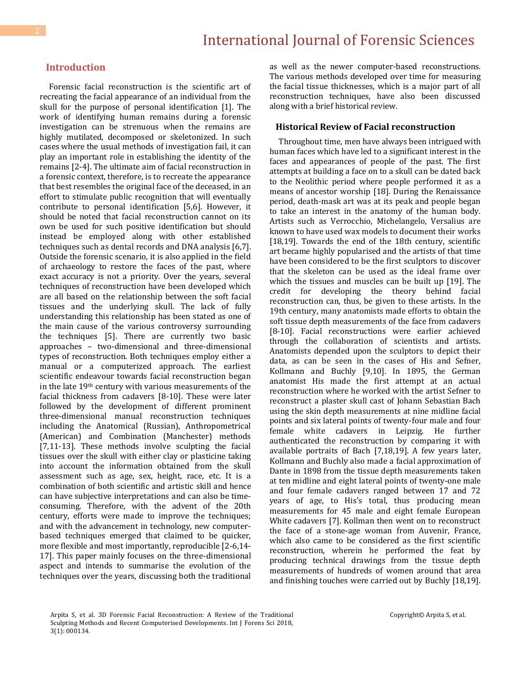### **Introduction**

 Forensic facial reconstruction is the scientific art of recreating the facial appearance of an individual from the skull for the purpose of personal identification [1]. The work of identifying human remains during a forensic investigation can be strenuous when the remains are highly mutilated, decomposed or skeletonized. In such cases where the usual methods of investigation fail, it can play an important role in establishing the identity of the remains [2-4]. The ultimate aim of facial reconstruction in a forensic context, therefore, is to recreate the appearance that best resembles the original face of the deceased, in an effort to stimulate public recognition that will eventually contribute to personal identification [5,6]. However, it should be noted that facial reconstruction cannot on its own be used for such positive identification but should instead be employed along with other established techniques such as dental records and DNA analysis [6,7]. Outside the forensic scenario, it is also applied in the field of archaeology to restore the faces of the past, where exact accuracy is not a priority. Over the years, several techniques of reconstruction have been developed which are all based on the relationship between the soft facial tissues and the underlying skull. The lack of fully understanding this relationship has been stated as one of the main cause of the various controversy surrounding the techniques [5]. There are currently two basic approaches – two-dimensional and three-dimensional types of reconstruction. Both techniques employ either a manual or a computerized approach. The earliest scientific endeavour towards facial reconstruction began in the late 19th century with various measurements of the facial thickness from cadavers [8-10]. These were later followed by the development of different prominent three-dimensional manual reconstruction techniques including the Anatomical (Russian), Anthropometrical (American) and Combination (Manchester) methods [7,11-13]. These methods involve sculpting the facial tissues over the skull with either clay or plasticine taking into account the information obtained from the skull assessment such as age, sex, height, race, etc. It is a combination of both scientific and artistic skill and hence can have subjective interpretations and can also be timeconsuming. Therefore, with the advent of the 20th century, efforts were made to improve the techniques; and with the advancement in technology, new computerbased techniques emerged that claimed to be quicker, more flexible and most importantly, reproducible [2-6,14- 17]. This paper mainly focuses on the three-dimensional aspect and intends to summarise the evolution of the techniques over the years, discussing both the traditional

as well as the newer computer-based reconstructions. The various methods developed over time for measuring the facial tissue thicknesses, which is a major part of all reconstruction techniques, have also been discussed along with a brief historical review.

#### **Historical Review of Facial reconstruction**

 Throughout time, men have always been intrigued with human faces which have led to a significant interest in the faces and appearances of people of the past. The first attempts at building a face on to a skull can be dated back to the Neolithic period where people performed it as a means of ancestor worship [18]. During the Renaissance period, death-mask art was at its peak and people began to take an interest in the anatomy of the human body. Artists such as Verrocchio, Michelangelo, Versalius are known to have used wax models to document their works [18,19]. Towards the end of the 18th century, scientific art became highly popularised and the artists of that time have been considered to be the first sculptors to discover that the skeleton can be used as the ideal frame over which the tissues and muscles can be built up [19]. The credit for developing the theory behind facial reconstruction can, thus, be given to these artists. In the 19th century, many anatomists made efforts to obtain the soft tissue depth measurements of the face from cadavers [8-10]. Facial reconstructions were earlier achieved through the collaboration of scientists and artists. Anatomists depended upon the sculptors to depict their data, as can be seen in the cases of His and Sefner, Kollmann and Buchly [9,10]. In 1895, the German anatomist His made the first attempt at an actual reconstruction where he worked with the artist Sefner to reconstruct a plaster skull cast of Johann Sebastian Bach using the skin depth measurements at nine midline facial points and six lateral points of twenty-four male and four female white cadavers in Leipzig. He further authenticated the reconstruction by comparing it with available portraits of Bach [7,18,19]. A few years later, Kollmann and Buchly also made a facial approximation of Dante in 1898 from the tissue depth measurements taken at ten midline and eight lateral points of twenty-one male and four female cadavers ranged between 17 and 72 years of age, to His's total, thus producing mean measurements for 45 male and eight female European White cadavers [7]. Kollman then went on to reconstruct the face of a stone-age woman from Auvenir, France, which also came to be considered as the first scientific reconstruction, wherein he performed the feat by producing technical drawings from the tissue depth measurements of hundreds of women around that area and finishing touches were carried out by Buchly [18,19].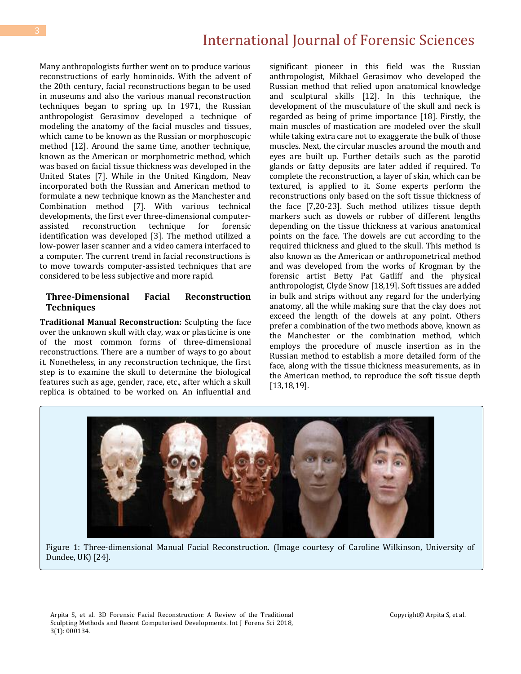Many anthropologists further went on to produce various reconstructions of early hominoids. With the advent of the 20th century, facial reconstructions began to be used in museums and also the various manual reconstruction techniques began to spring up. In 1971, the Russian anthropologist Gerasimov developed a technique of modeling the anatomy of the facial muscles and tissues, which came to be known as the Russian or morphoscopic method [12]. Around the same time, another technique, known as the American or morphometric method, which was based on facial tissue thickness was developed in the United States [7]. While in the United Kingdom, Neav incorporated both the Russian and American method to formulate a new technique known as the Manchester and Combination method [7]. With various technical developments, the first ever three-dimensional computerassisted reconstruction technique for forensic identification was developed [3]. The method utilized a low-power laser scanner and a video camera interfaced to a computer. The current trend in facial reconstructions is to move towards computer-assisted techniques that are considered to be less subjective and more rapid.

#### **Three-Dimensional Facial Reconstruction Techniques**

**Traditional Manual Reconstruction:** Sculpting the face over the unknown skull with clay, wax or plasticine is one of the most common forms of three-dimensional reconstructions. There are a number of ways to go about it. Nonetheless, in any reconstruction technique, the first step is to examine the skull to determine the biological features such as age, gender, race, etc., after which a skull replica is obtained to be worked on. An influential and

significant pioneer in this field was the Russian anthropologist, Mikhael Gerasimov who developed the Russian method that relied upon anatomical knowledge and sculptural skills [12]. In this technique, the development of the musculature of the skull and neck is regarded as being of prime importance [18]. Firstly, the main muscles of mastication are modeled over the skull while taking extra care not to exaggerate the bulk of those muscles. Next, the circular muscles around the mouth and eyes are built up. Further details such as the parotid glands or fatty deposits are later added if required. To complete the reconstruction, a layer of skin, which can be textured, is applied to it. Some experts perform the reconstructions only based on the soft tissue thickness of the face [7,20-23]. Such method utilizes tissue depth markers such as dowels or rubber of different lengths depending on the tissue thickness at various anatomical points on the face. The dowels are cut according to the required thickness and glued to the skull. This method is also known as the American or anthropometrical method and was developed from the works of Krogman by the forensic artist Betty Pat Gatliff and the physical anthropologist, Clyde Snow [18,19]. Soft tissues are added in bulk and strips without any regard for the underlying anatomy, all the while making sure that the clay does not exceed the length of the dowels at any point. Others prefer a combination of the two methods above, known as the Manchester or the combination method, which employs the procedure of muscle insertion as in the Russian method to establish a more detailed form of the face, along with the tissue thickness measurements, as in the American method, to reproduce the soft tissue depth [13,18,19].



Figure 1: Three-dimensional Manual Facial Reconstruction. (Image courtesy of Caroline Wilkinson, University of Dundee, UK) [24].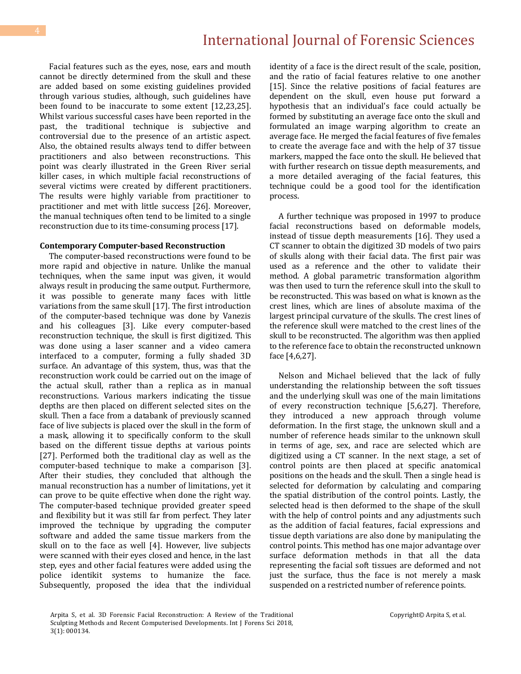Facial features such as the eyes, nose, ears and mouth cannot be directly determined from the skull and these are added based on some existing guidelines provided through various studies, although, such guidelines have been found to be inaccurate to some extent [12,23,25]. Whilst various successful cases have been reported in the past, the traditional technique is subjective and controversial due to the presence of an artistic aspect. Also, the obtained results always tend to differ between practitioners and also between reconstructions. This point was clearly illustrated in the Green River serial killer cases, in which multiple facial reconstructions of several victims were created by different practitioners. The results were highly variable from practitioner to practitioner and met with little success [26]. Moreover, the manual techniques often tend to be limited to a single reconstruction due to its time-consuming process [17].

#### **Contemporary Computer-based Reconstruction**

 The computer-based reconstructions were found to be more rapid and objective in nature. Unlike the manual techniques, when the same input was given, it would always result in producing the same output. Furthermore, it was possible to generate many faces with little variations from the same skull [17]. The first introduction of the computer-based technique was done by Vanezis and his colleagues [3]. Like every computer-based reconstruction technique, the skull is first digitized. This was done using a laser scanner and a video camera interfaced to a computer, forming a fully shaded 3D surface. An advantage of this system, thus, was that the reconstruction work could be carried out on the image of the actual skull, rather than a replica as in manual reconstructions. Various markers indicating the tissue depths are then placed on different selected sites on the skull. Then a face from a databank of previously scanned face of live subjects is placed over the skull in the form of a mask, allowing it to specifically conform to the skull based on the different tissue depths at various points [27]. Performed both the traditional clay as well as the computer-based technique to make a comparison [3]. After their studies, they concluded that although the manual reconstruction has a number of limitations, yet it can prove to be quite effective when done the right way. The computer-based technique provided greater speed and flexibility but it was still far from perfect. They later improved the technique by upgrading the computer software and added the same tissue markers from the skull on to the face as well [4]. However, live subjects were scanned with their eyes closed and hence, in the last step, eyes and other facial features were added using the police identikit systems to humanize the face. Subsequently, proposed the idea that the individual

identity of a face is the direct result of the scale, position, and the ratio of facial features relative to one another [15]. Since the relative positions of facial features are dependent on the skull, even house put forward a hypothesis that an individual's face could actually be formed by substituting an average face onto the skull and formulated an image warping algorithm to create an average face. He merged the facial features of five females to create the average face and with the help of 37 tissue markers, mapped the face onto the skull. He believed that with further research on tissue depth measurements, and a more detailed averaging of the facial features, this technique could be a good tool for the identification process.

 A further technique was proposed in 1997 to produce facial reconstructions based on deformable models, instead of tissue depth measurements [16]. They used a CT scanner to obtain the digitized 3D models of two pairs of skulls along with their facial data. The first pair was used as a reference and the other to validate their method. A global parametric transformation algorithm was then used to turn the reference skull into the skull to be reconstructed. This was based on what is known as the crest lines, which are lines of absolute maxima of the largest principal curvature of the skulls. The crest lines of the reference skull were matched to the crest lines of the skull to be reconstructed. The algorithm was then applied to the reference face to obtain the reconstructed unknown face [4,6,27].

 Nelson and Michael believed that the lack of fully understanding the relationship between the soft tissues and the underlying skull was one of the main limitations of every reconstruction technique [5,6,27]. Therefore, they introduced a new approach through volume deformation. In the first stage, the unknown skull and a number of reference heads similar to the unknown skull in terms of age, sex, and race are selected which are digitized using a CT scanner. In the next stage, a set of control points are then placed at specific anatomical positions on the heads and the skull. Then a single head is selected for deformation by calculating and comparing the spatial distribution of the control points. Lastly, the selected head is then deformed to the shape of the skull with the help of control points and any adjustments such as the addition of facial features, facial expressions and tissue depth variations are also done by manipulating the control points. This method has one major advantage over surface deformation methods in that all the data representing the facial soft tissues are deformed and not just the surface, thus the face is not merely a mask suspended on a restricted number of reference points.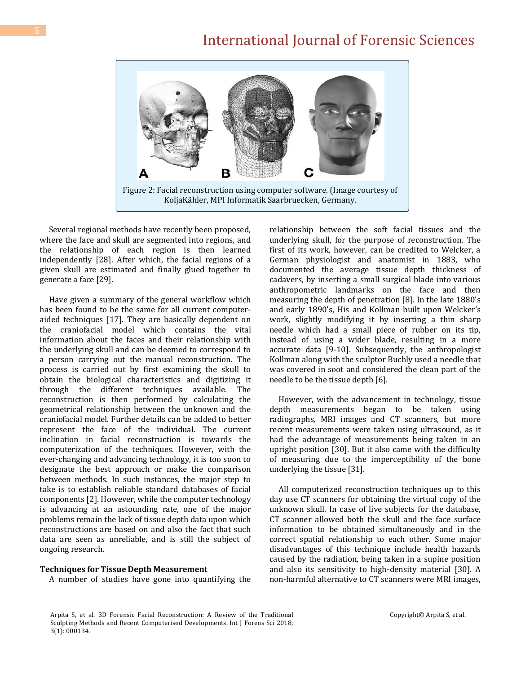

 Several regional methods have recently been proposed, where the face and skull are segmented into regions, and the relationship of each region is then learned independently [28]. After which, the facial regions of a given skull are estimated and finally glued together to generate a face [29].

 Have given a summary of the general workflow which has been found to be the same for all current computeraided techniques [17]. They are basically dependent on the craniofacial model which contains the vital information about the faces and their relationship with the underlying skull and can be deemed to correspond to a person carrying out the manual reconstruction. The process is carried out by first examining the skull to obtain the biological characteristics and digitizing it through the different techniques available. The reconstruction is then performed by calculating the geometrical relationship between the unknown and the craniofacial model. Further details can be added to better represent the face of the individual. The current inclination in facial reconstruction is towards the computerization of the techniques. However, with the ever-changing and advancing technology, it is too soon to designate the best approach or make the comparison between methods. In such instances, the major step to take is to establish reliable standard databases of facial components [2]. However, while the computer technology is advancing at an astounding rate, one of the major problems remain the lack of tissue depth data upon which reconstructions are based on and also the fact that such data are seen as unreliable, and is still the subject of ongoing research.

#### **Techniques for Tissue Depth Measurement**

A number of studies have gone into quantifying the

relationship between the soft facial tissues and the underlying skull, for the purpose of reconstruction. The first of its work, however, can be credited to Welcker, a German physiologist and anatomist in 1883, who documented the average tissue depth thickness of cadavers, by inserting a small surgical blade into various anthropometric landmarks on the face and then measuring the depth of penetration [8]. In the late 1880's and early 1890's, His and Kollman built upon Welcker's work, slightly modifying it by inserting a thin sharp needle which had a small piece of rubber on its tip, instead of using a wider blade, resulting in a more accurate data [9-10]. Subsequently, the anthropologist Kollman along with the sculptor Buchly used a needle that was covered in soot and considered the clean part of the needle to be the tissue depth [6].

 However, with the advancement in technology, tissue depth measurements began to be taken using radiographs, MRI images and CT scanners, but more recent measurements were taken using ultrasound, as it had the advantage of measurements being taken in an upright position [30]. But it also came with the difficulty of measuring due to the imperceptibility of the bone underlying the tissue [31].

 All computerized reconstruction techniques up to this day use CT scanners for obtaining the virtual copy of the unknown skull. In case of live subjects for the database, CT scanner allowed both the skull and the face surface information to be obtained simultaneously and in the correct spatial relationship to each other. Some major disadvantages of this technique include health hazards caused by the radiation, being taken in a supine position and also its sensitivity to high-density material [30]. A non-harmful alternative to CT scanners were MRI images,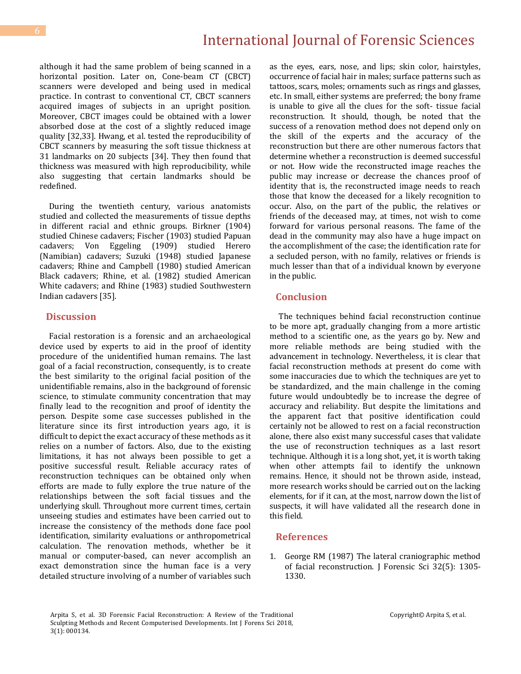although it had the same problem of being scanned in a horizontal position. Later on, Cone-beam CT (CBCT) scanners were developed and being used in medical practice. In contrast to conventional CT, CBCT scanners acquired images of subjects in an upright position. Moreover, CBCT images could be obtained with a lower absorbed dose at the cost of a slightly reduced image quality [32,33]. Hwang, et al. tested the reproducibility of CBCT scanners by measuring the soft tissue thickness at 31 landmarks on 20 subjects [34]. They then found that thickness was measured with high reproducibility, while also suggesting that certain landmarks should be redefined.

 During the twentieth century, various anatomists studied and collected the measurements of tissue depths in different racial and ethnic groups. Birkner (1904) studied Chinese cadavers; Fischer (1903) studied Papuan cadavers; Von Eggeling (1909) studied Herero (Namibian) cadavers; Suzuki (1948) studied Japanese cadavers; Rhine and Campbell (1980) studied American Black cadavers; Rhine, et al. (1982) studied American White cadavers; and Rhine (1983) studied Southwestern Indian cadavers [35].

#### **Discussion**

 Facial restoration is a forensic and an archaeological device used by experts to aid in the proof of identity procedure of the unidentified human remains. The last goal of a facial reconstruction, consequently, is to create the best similarity to the original facial position of the unidentifiable remains, also in the background of forensic science, to stimulate community concentration that may finally lead to the recognition and proof of identity the person. Despite some case successes published in the literature since its first introduction years ago, it is difficult to depict the exact accuracy of these methods as it relies on a number of factors. Also, due to the existing limitations, it has not always been possible to get a positive successful result. Reliable accuracy rates of reconstruction techniques can be obtained only when efforts are made to fully explore the true nature of the relationships between the soft facial tissues and the underlying skull. Throughout more current times, certain unseeing studies and estimates have been carried out to increase the consistency of the methods done face pool identification, similarity evaluations or anthropometrical calculation. The renovation methods, whether be it manual or computer-based, can never accomplish an exact demonstration since the human face is a very detailed structure involving of a number of variables such

as the eyes, ears, nose, and lips; skin color, hairstyles, occurrence of facial hair in males; surface patterns such as tattoos, scars, moles; ornaments such as rings and glasses, etc. In small, either systems are preferred; the bony frame is unable to give all the clues for the soft- tissue facial reconstruction. It should, though, be noted that the success of a renovation method does not depend only on the skill of the experts and the accuracy of the reconstruction but there are other numerous factors that determine whether a reconstruction is deemed successful or not. How wide the reconstructed image reaches the public may increase or decrease the chances proof of identity that is, the reconstructed image needs to reach those that know the deceased for a likely recognition to occur. Also, on the part of the public, the relatives or friends of the deceased may, at times, not wish to come forward for various personal reasons. The fame of the dead in the community may also have a huge impact on the accomplishment of the case; the identification rate for a secluded person, with no family, relatives or friends is much lesser than that of a individual known by everyone in the public.

### **Conclusion**

 The techniques behind facial reconstruction continue to be more apt, gradually changing from a more artistic method to a scientific one, as the years go by. New and more reliable methods are being studied with the advancement in technology. Nevertheless, it is clear that facial reconstruction methods at present do come with some inaccuracies due to which the techniques are yet to be standardized, and the main challenge in the coming future would undoubtedly be to increase the degree of accuracy and reliability. But despite the limitations and the apparent fact that positive identification could certainly not be allowed to rest on a facial reconstruction alone, there also exist many successful cases that validate the use of reconstruction techniques as a last resort technique. Although it is a long shot, yet, it is worth taking when other attempts fail to identify the unknown remains. Hence, it should not be thrown aside, instead, more research works should be carried out on the lacking elements, for if it can, at the most, narrow down the list of suspects, it will have validated all the research done in this field.

#### **References**

1. George RM (1987) The lateral craniographic method of facial reconstruction. J Forensic Sci 32(5): 1305- 1330.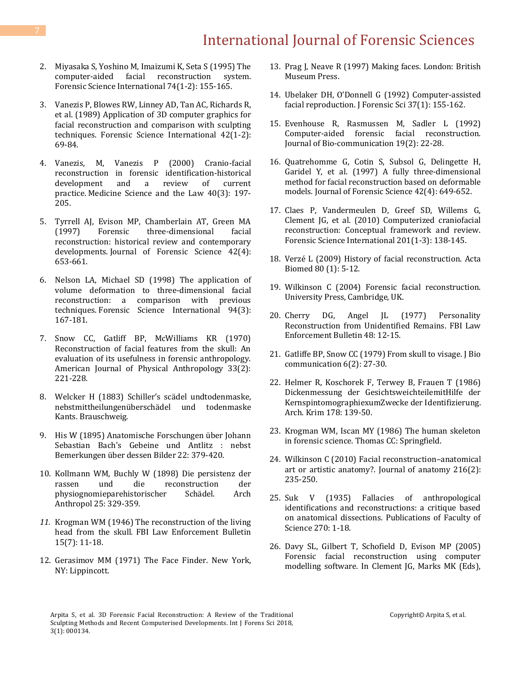- 2. [Miyasaka S, Yoshino M, Imaizumi K, Seta S \(1995\)](https://www.sciencedirect.com/science/article/pii/0379073895017444) The [computer-aided facial reconstruction system.](https://www.sciencedirect.com/science/article/pii/0379073895017444)  Forensic Science International [74\(1-2\): 155-165.](https://www.sciencedirect.com/science/article/pii/0379073895017444)
- 3. [Vanezis P, Blowes RW, Linney AD, Tan AC, Richards R,](https://www.sciencedirect.com/science/article/pii/0379073889902004)  [et al. \(1989\) Application of 3D computer graphics for](https://www.sciencedirect.com/science/article/pii/0379073889902004)  [facial reconstruction and comparison with sculpting](https://www.sciencedirect.com/science/article/pii/0379073889902004)  [techniques. Forensic Science International 42\(1-2\):](https://www.sciencedirect.com/science/article/pii/0379073889902004)  [69-84.](https://www.sciencedirect.com/science/article/pii/0379073889902004)
- 4. [Vanezis, M, Vanezis P \(2000\) Cranio-facial](https://www.ncbi.nlm.nih.gov/pubmed/10976181)  [reconstruction in forensic identification-historical](https://www.ncbi.nlm.nih.gov/pubmed/10976181)  [development and a review of current](https://www.ncbi.nlm.nih.gov/pubmed/10976181)  practice. [Medicine Science and the Law](https://www.ncbi.nlm.nih.gov/pubmed/10976181) 40(3): 197- [205.](https://www.ncbi.nlm.nih.gov/pubmed/10976181)
- 5. [Tyrrell AJ, Evison MP, Chamberlain AT, Green MA](https://www.ncbi.nlm.nih.gov/pubmed/9243827)  [\(1997\) Forensic three-dimensional facial](https://www.ncbi.nlm.nih.gov/pubmed/9243827)  [reconstruction: historical review and contemporary](https://www.ncbi.nlm.nih.gov/pubmed/9243827)  developments. [Journal of Forensic Science](https://www.ncbi.nlm.nih.gov/pubmed/9243827) 42(4): [653-661.](https://www.ncbi.nlm.nih.gov/pubmed/9243827)
- 6. [Nelson LA, Michael SD \(1998\) The application of](https://www.sciencedirect.com/science/article/pii/S0379073898000668)  [volume deformation to three-dimensional facial](https://www.sciencedirect.com/science/article/pii/S0379073898000668)  [reconstruction: a comparison with previous](https://www.sciencedirect.com/science/article/pii/S0379073898000668)  techniques. [Forensic Science International](https://www.sciencedirect.com/science/article/pii/S0379073898000668) 94(3): [167-181.](https://www.sciencedirect.com/science/article/pii/S0379073898000668)
- 7. [Snow CC, Gatliff BP, McWilliams KR \(1970\)](https://www.ncbi.nlm.nih.gov/pubmed/5473087)  [Reconstruction of facial features from the skull: An](https://www.ncbi.nlm.nih.gov/pubmed/5473087)  [evaluation of its usefulness in forensic anthropology.](https://www.ncbi.nlm.nih.gov/pubmed/5473087)  [American Journal of Physical Anthropology 33\(2\):](https://www.ncbi.nlm.nih.gov/pubmed/5473087)  [221-228.](https://www.ncbi.nlm.nih.gov/pubmed/5473087)
- 8. Welcker H (1883) Schiller's scädel undtodenmaske, nebstmittheilungenüberschädel und todenmaske Kants. Brauschweig.
- 9. [His W \(1895\) Anatomische Forschungen über Johann](https://wellcomelibrary.org/item/b22415701#?c=0&m=0&s=0&cv=0&z=-1.2704%2C-0.0896%2C3.5408%2C1.7916)  [Sebastian Bach's Gebeine und Antlitz : nebst](https://wellcomelibrary.org/item/b22415701#?c=0&m=0&s=0&cv=0&z=-1.2704%2C-0.0896%2C3.5408%2C1.7916)  [Bemerkungen über dessen Bilder 22: 379-420.](https://wellcomelibrary.org/item/b22415701#?c=0&m=0&s=0&cv=0&z=-1.2704%2C-0.0896%2C3.5408%2C1.7916)
- 10. Kollmann WM, Buchly W (1898) Die persistenz der rassen und die reconstruction der physiognomieparehistorischer Schädel. Arch Anthropol 25: 329-359.
- *11.* Krogman WM (1946) The reconstruction of the living head from the skull*.* FBI Law Enforcement Bulletin 15(7): 11-18.
- 12. Gerasimov MM (1971) The Face Finder. New York, NY: Lippincott.
- 13. Prag J, Neave R (1997) Making faces. London: British Museum Press.
- 14. Ubelaker DH, O'[Donnell G \(1992\) Computer-assisted](https://www.ncbi.nlm.nih.gov/pubmed/1545196)  [facial reproduction. J Forensic Sci](https://www.ncbi.nlm.nih.gov/pubmed/1545196) 37(1): 155-162.
- 15. [Evenhouse R, Rasmussen M, Sadler L \(1992\)](https://www.ncbi.nlm.nih.gov/pubmed/1624477)  [Computer-aided forensic facial reconstruction.](https://www.ncbi.nlm.nih.gov/pubmed/1624477)  [Journal of Bio-communication 19\(2\): 22-28.](https://www.ncbi.nlm.nih.gov/pubmed/1624477)
- 16. [Quatrehomme G, Cotin S, Subsol G, Delingette H,](https://www.ncbi.nlm.nih.gov/pubmed/9243826)  [Garidel Y, et al. \(1997\) A fully three-dimensional](https://www.ncbi.nlm.nih.gov/pubmed/9243826)  [method for facial reconstruction based on deformable](https://www.ncbi.nlm.nih.gov/pubmed/9243826)  models. [Journal of Forensic Science](https://www.ncbi.nlm.nih.gov/pubmed/9243826) 42(4): 649-652.
- 17. [Claes P, Vandermeulen D, Greef SD, Willems G,](https://www.sciencedirect.com/science/article/pii/S0379073810001003)  [Clement JG, et al. \(2010\) Computerized craniofacial](https://www.sciencedirect.com/science/article/pii/S0379073810001003)  [reconstruction: Conceptual framework and review.](https://www.sciencedirect.com/science/article/pii/S0379073810001003)  [Forensic Science International](https://www.sciencedirect.com/science/article/pii/S0379073810001003) 201(1-3): 138-145.
- 18. [Verzé L \(2009\) History of facial reconstruction. Acta](https://www.ncbi.nlm.nih.gov/pubmed/19705614)  [Biomed 80 \(1\): 5-12.](https://www.ncbi.nlm.nih.gov/pubmed/19705614)
- 19. Wilkinson C (2004) Forensic facial reconstruction. University Press, Cambridge, UK.
- 20. Cherry DG, Angel JL (1977) Personality Reconstruction from Unidentified Remains. FBI Law Enforcement Bulletin 48: 12-15.
- 21. [Gatliffe BP, Snow CC \(1979\) From skull to visage. J Bio](https://www.ncbi.nlm.nih.gov/pubmed/457651)  [communication 6\(2\): 27-30.](https://www.ncbi.nlm.nih.gov/pubmed/457651)
- 22. Helmer R, Koschorek F, Terwey B, Frauen T (1986) Dickenmessung der GesichtsweichteilemitHilfe der KernspintomographiexumZwecke der Identifizierung. Arch. Krim 178: 139-50.
- 23. Krogman WM, Iscan MY (1986) The human skeleton in forensic science. Thomas CC: Springfield.
- 24. [Wilkinson C \(2010\) Facial reconstruction](https://www.ncbi.nlm.nih.gov/pubmed/20447245)–anatomical [art or artistic anatomy?. Journal of anatomy](https://www.ncbi.nlm.nih.gov/pubmed/20447245) 216(2): [235-250.](https://www.ncbi.nlm.nih.gov/pubmed/20447245)
- 25. Suk V (1935) Fallacies of anthropological identifications and reconstructions: a critique based on anatomical dissections. Publications of Faculty of Science 270: 1-18.
- 26. Davy SL, Gilbert T, Schofield D, Evison MP (2005) Forensic facial reconstruction using computer modelling software. In Clement JG, Marks MK (Eds),